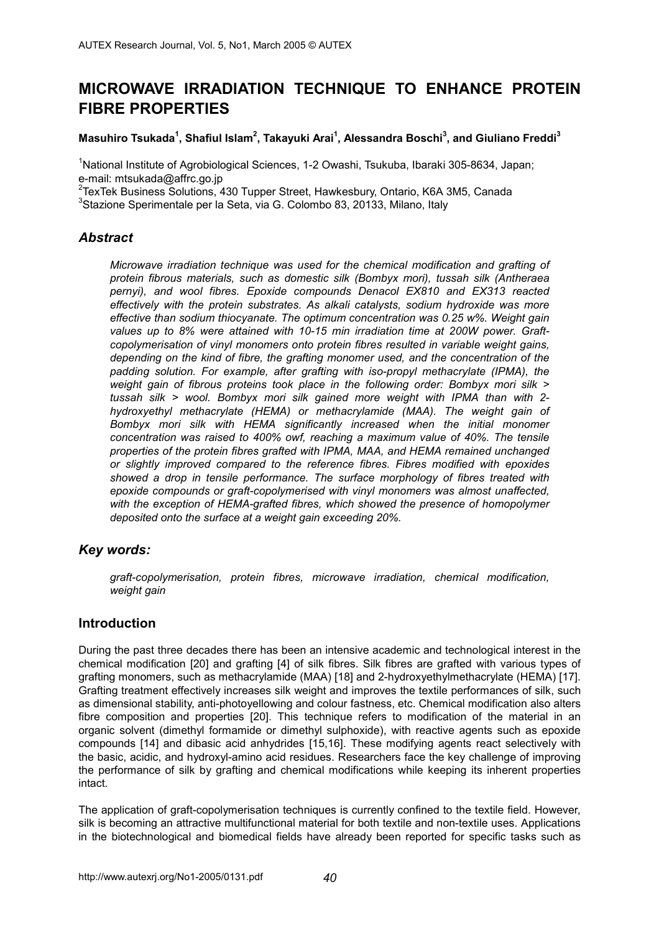# **MICROWAVE IRRADIATION TECHNIQUE TO ENHANCE PROTEIN FIBRE PROPERTIES**

### **Masuhiro Tsukada1 , Shafiul Islam<sup>2</sup> , Takayuki Arai1 , Alessandra Boschi3 , and Giuliano Freddi3**

<sup>1</sup>National Institute of Agrobiological Sciences, 1-2 Owashi, Tsukuba, Ibaraki 305-8634, Japan; e-mail: mtsukada@affrc.go.jp

<sup>2</sup>TexTek Business Solutions, 430 Tupper Street, Hawkesbury, Ontario, K6A 3M5, Canada

<sup>3</sup>Stazione Sperimentale per la Seta, via G. Colombo 83, 20133, Milano, Italy

### *Abstract*

*Microwave irradiation technique was used for the chemical modification and grafting of protein fibrous materials, such as domestic silk (Bombyx mori), tussah silk (Antheraea pernyi), and wool fibres. Epoxide compounds Denacol EX810 and EX313 reacted effectively with the protein substrates. As alkali catalysts, sodium hydroxide was more effective than sodium thiocyanate. The optimum concentration was 0.25 w%. Weight gain values up to 8% were attained with 10-15 min irradiation time at 200W power. Graftcopolymerisation of vinyl monomers onto protein fibres resulted in variable weight gains, depending on the kind of fibre, the grafting monomer used, and the concentration of the padding solution. For example, after grafting with iso-propyl methacrylate (IPMA), the weight gain of fibrous proteins took place in the following order: Bombyx mori silk > tussah silk > wool. Bombyx mori silk gained more weight with IPMA than with 2 hydroxyethyl methacrylate (HEMA) or methacrylamide (MAA). The weight gain of Bombyx mori silk with HEMA significantly increased when the initial monomer concentration was raised to 400% owf, reaching a maximum value of 40%. The tensile properties of the protein fibres grafted with IPMA, MAA, and HEMA remained unchanged or slightly improved compared to the reference fibres. Fibres modified with epoxides showed a drop in tensile performance. The surface morphology of fibres treated with epoxide compounds or graft-copolymerised with vinyl monomers was almost unaffected, with the exception of HEMA-grafted fibres, which showed the presence of homopolymer deposited onto the surface at a weight gain exceeding 20%.* 

## *Key words:*

*graft-copolymerisation, protein fibres, microwave irradiation, chemical modification, weight gain* 

## **Introduction**

During the past three decades there has been an intensive academic and technological interest in the chemical modification [20] and grafting [4] of silk fibres. Silk fibres are grafted with various types of grafting monomers, such as methacrylamide (MAA) [18] and 2-hydroxyethylmethacrylate (HEMA) [17]. Grafting treatment effectively increases silk weight and improves the textile performances of silk, such as dimensional stability, anti-photoyellowing and colour fastness, etc. Chemical modification also alters fibre composition and properties [20]. This technique refers to modification of the material in an organic solvent (dimethyl formamide or dimethyl sulphoxide), with reactive agents such as epoxide compounds [14] and dibasic acid anhydrides [15,16]. These modifying agents react selectively with the basic, acidic, and hydroxyl-amino acid residues. Researchers face the key challenge of improving the performance of silk by grafting and chemical modifications while keeping its inherent properties intact.

The application of graft-copolymerisation techniques is currently confined to the textile field. However, silk is becoming an attractive multifunctional material for both textile and non-textile uses. Applications in the biotechnological and biomedical fields have already been reported for specific tasks such as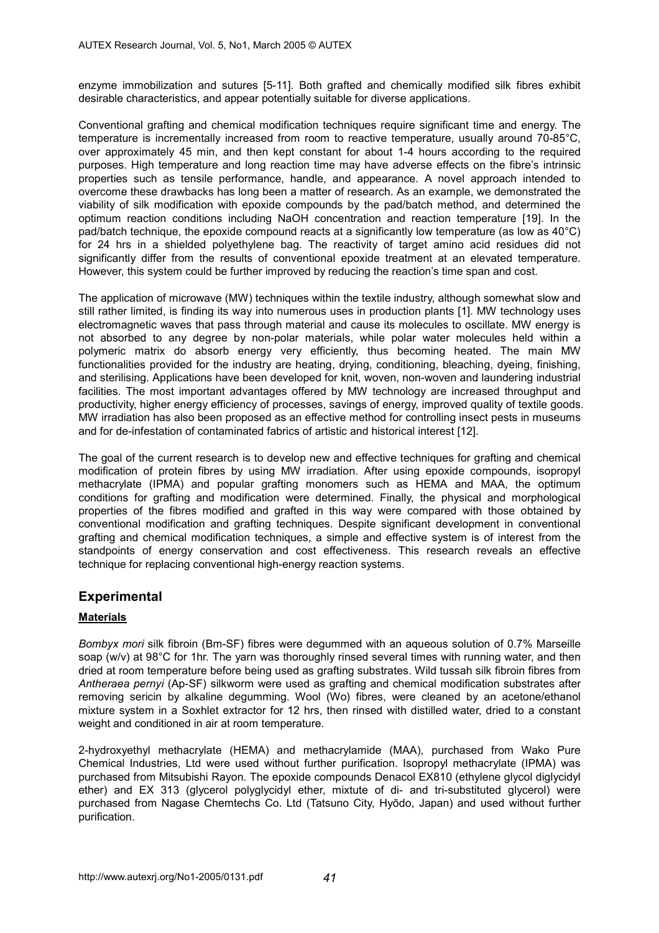enzyme immobilization and sutures [5-11]. Both grafted and chemically modified silk fibres exhibit desirable characteristics, and appear potentially suitable for diverse applications.

Conventional grafting and chemical modification techniques require significant time and energy. The temperature is incrementally increased from room to reactive temperature, usually around 70-85°C, over approximately 45 min, and then kept constant for about 1-4 hours according to the required purposes. High temperature and long reaction time may have adverse effects on the fibre's intrinsic properties such as tensile performance, handle, and appearance. A novel approach intended to overcome these drawbacks has long been a matter of research. As an example, we demonstrated the viability of silk modification with epoxide compounds by the pad/batch method, and determined the optimum reaction conditions including NaOH concentration and reaction temperature [19]. In the pad/batch technique, the epoxide compound reacts at a significantly low temperature (as low as 40°C) for 24 hrs in a shielded polyethylene bag. The reactivity of target amino acid residues did not significantly differ from the results of conventional epoxide treatment at an elevated temperature. However, this system could be further improved by reducing the reaction's time span and cost.

The application of microwave (MW) techniques within the textile industry, although somewhat slow and still rather limited, is finding its way into numerous uses in production plants [1]. MW technology uses electromagnetic waves that pass through material and cause its molecules to oscillate. MW energy is not absorbed to any degree by non-polar materials, while polar water molecules held within a polymeric matrix do absorb energy very efficiently, thus becoming heated. The main MW functionalities provided for the industry are heating, drying, conditioning, bleaching, dyeing, finishing, and sterilising. Applications have been developed for knit, woven, non-woven and laundering industrial facilities. The most important advantages offered by MW technology are increased throughput and productivity, higher energy efficiency of processes, savings of energy, improved quality of textile goods. MW irradiation has also been proposed as an effective method for controlling insect pests in museums and for de-infestation of contaminated fabrics of artistic and historical interest [12].

The goal of the current research is to develop new and effective techniques for grafting and chemical modification of protein fibres by using MW irradiation. After using epoxide compounds, isopropyl methacrylate (IPMA) and popular grafting monomers such as HEMA and MAA, the optimum conditions for grafting and modification were determined. Finally, the physical and morphological properties of the fibres modified and grafted in this way were compared with those obtained by conventional modification and grafting techniques. Despite significant development in conventional grafting and chemical modification techniques, a simple and effective system is of interest from the standpoints of energy conservation and cost effectiveness. This research reveals an effective technique for replacing conventional high-energy reaction systems.

# **Experimental**

## **Materials**

*Bombyx mori* silk fibroin (Bm-SF) fibres were degummed with an aqueous solution of 0.7% Marseille soap (w/v) at 98°C for 1hr. The yarn was thoroughly rinsed several times with running water, and then dried at room temperature before being used as grafting substrates. Wild tussah silk fibroin fibres from *Antheraea pernyi* (Ap-SF) silkworm were used as grafting and chemical modification substrates after removing sericin by alkaline degumming. Wool (Wo) fibres, were cleaned by an acetone/ethanol mixture system in a Soxhlet extractor for 12 hrs, then rinsed with distilled water, dried to a constant weight and conditioned in air at room temperature.

2-hydroxyethyl methacrylate (HEMA) and methacrylamide (MAA), purchased from Wako Pure Chemical Industries, Ltd were used without further purification. Isopropyl methacrylate (IPMA) was purchased from Mitsubishi Rayon. The epoxide compounds Denacol EX810 (ethylene glycol diglycidyl ether) and EX 313 (glycerol polyglycidyl ether, mixtute of di- and tri-substituted glycerol) were purchased from Nagase Chemtechs Co. Ltd (Tatsuno City, Hyōdo, Japan) and used without further purification.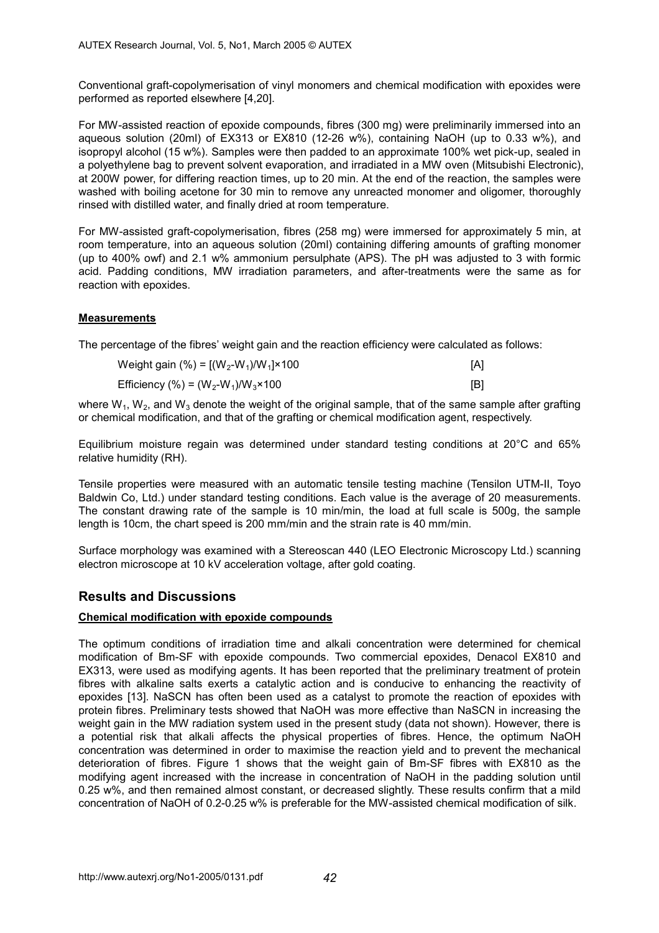Conventional graft-copolymerisation of vinyl monomers and chemical modification with epoxides were performed as reported elsewhere [4,20].

For MW-assisted reaction of epoxide compounds, fibres (300 mg) were preliminarily immersed into an aqueous solution (20ml) of EX313 or EX810 (12-26 w%), containing NaOH (up to 0.33 w%), and isopropyl alcohol (15 w%). Samples were then padded to an approximate 100% wet pick-up, sealed in a polyethylene bag to prevent solvent evaporation, and irradiated in a MW oven (Mitsubishi Electronic), at 200W power, for differing reaction times, up to 20 min. At the end of the reaction, the samples were washed with boiling acetone for 30 min to remove any unreacted monomer and oligomer, thoroughly rinsed with distilled water, and finally dried at room temperature.

For MW-assisted graft-copolymerisation, fibres (258 mg) were immersed for approximately 5 min, at room temperature, into an aqueous solution (20ml) containing differing amounts of grafting monomer (up to 400% owf) and 2.1 w% ammonium persulphate (APS). The pH was adjusted to 3 with formic acid. Padding conditions, MW irradiation parameters, and after-treatments were the same as for reaction with epoxides.

### **Measurements**

The percentage of the fibres' weight gain and the reaction efficiency were calculated as follows:

| Weight gain (%) = $[(W_2-W_1)/W_1]$ × 100   | [A] |
|---------------------------------------------|-----|
| Efficiency (%) = $(W_2-W_1)/W_3 \times 100$ | [B] |

where  $W_1$ ,  $W_2$ , and  $W_3$  denote the weight of the original sample, that of the same sample after grafting or chemical modification, and that of the grafting or chemical modification agent, respectively.

Equilibrium moisture regain was determined under standard testing conditions at 20°C and 65% relative humidity (RH).

Tensile properties were measured with an automatic tensile testing machine (Tensilon UTM-II, Toyo Baldwin Co, Ltd.) under standard testing conditions. Each value is the average of 20 measurements. The constant drawing rate of the sample is 10 min/min, the load at full scale is 500g, the sample length is 10cm, the chart speed is 200 mm/min and the strain rate is 40 mm/min.

Surface morphology was examined with a Stereoscan 440 (LEO Electronic Microscopy Ltd.) scanning electron microscope at 10 kV acceleration voltage, after gold coating.

# **Results and Discussions**

### **Chemical modification with epoxide compounds**

The optimum conditions of irradiation time and alkali concentration were determined for chemical modification of Bm-SF with epoxide compounds. Two commercial epoxides, Denacol EX810 and EX313, were used as modifying agents. It has been reported that the preliminary treatment of protein fibres with alkaline salts exerts a catalytic action and is conducive to enhancing the reactivity of epoxides [13]. NaSCN has often been used as a catalyst to promote the reaction of epoxides with protein fibres. Preliminary tests showed that NaOH was more effective than NaSCN in increasing the weight gain in the MW radiation system used in the present study (data not shown). However, there is a potential risk that alkali affects the physical properties of fibres. Hence, the optimum NaOH concentration was determined in order to maximise the reaction yield and to prevent the mechanical deterioration of fibres. Figure 1 shows that the weight gain of Bm-SF fibres with EX810 as the modifying agent increased with the increase in concentration of NaOH in the padding solution until 0.25 w%, and then remained almost constant, or decreased slightly. These results confirm that a mild concentration of NaOH of 0.2-0.25 w% is preferable for the MW-assisted chemical modification of silk.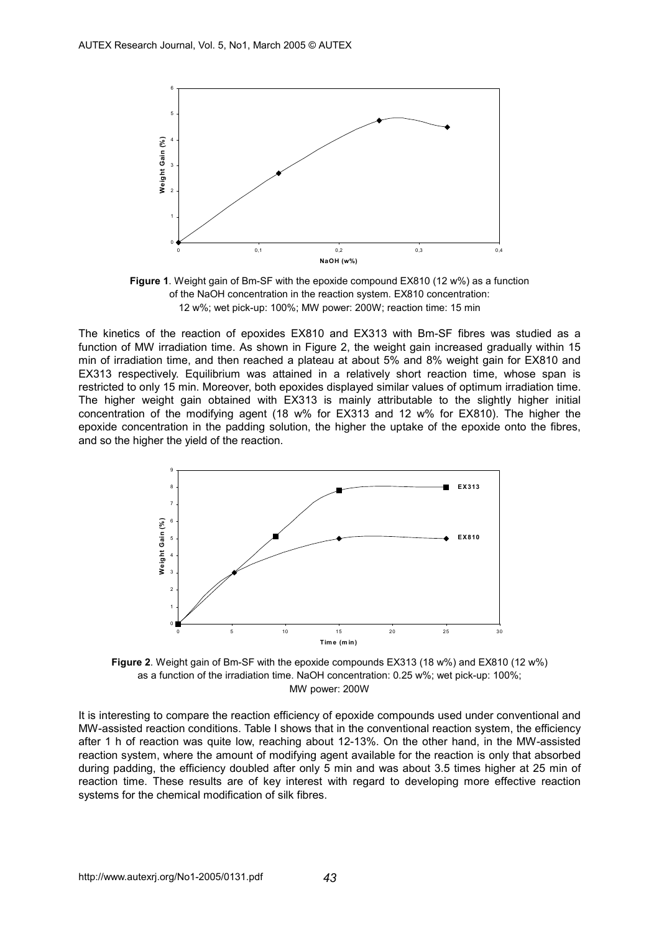

**Figure 1**. Weight gain of Bm-SF with the epoxide compound EX810 (12 w%) as a function of the NaOH concentration in the reaction system. EX810 concentration: 12 w%; wet pick-up: 100%; MW power: 200W; reaction time: 15 min

The kinetics of the reaction of epoxides EX810 and EX313 with Bm-SF fibres was studied as a function of MW irradiation time. As shown in Figure 2, the weight gain increased gradually within 15 min of irradiation time, and then reached a plateau at about 5% and 8% weight gain for EX810 and EX313 respectively. Equilibrium was attained in a relatively short reaction time, whose span is restricted to only 15 min. Moreover, both epoxides displayed similar values of optimum irradiation time. The higher weight gain obtained with EX313 is mainly attributable to the slightly higher initial concentration of the modifying agent (18 w% for EX313 and 12 w% for EX810). The higher the epoxide concentration in the padding solution, the higher the uptake of the epoxide onto the fibres, and so the higher the yield of the reaction.



**Figure 2**. Weight gain of Bm-SF with the epoxide compounds EX313 (18 w%) and EX810 (12 w%) as a function of the irradiation time. NaOH concentration: 0.25 w%; wet pick-up: 100%; MW power: 200W

It is interesting to compare the reaction efficiency of epoxide compounds used under conventional and MW-assisted reaction conditions. Table I shows that in the conventional reaction system, the efficiency after 1 h of reaction was quite low, reaching about 12-13%. On the other hand, in the MW-assisted reaction system, where the amount of modifying agent available for the reaction is only that absorbed during padding, the efficiency doubled after only 5 min and was about 3.5 times higher at 25 min of reaction time. These results are of key interest with regard to developing more effective reaction systems for the chemical modification of silk fibres.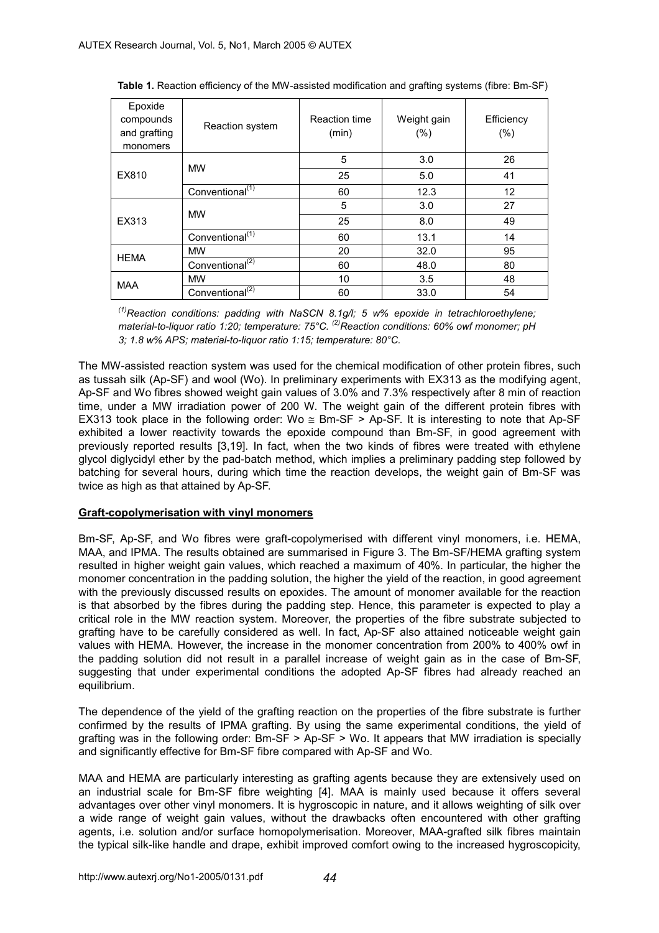| Epoxide<br>compounds<br>and grafting<br>monomers | Reaction system             | Reaction time<br>(min) | Weight gain<br>(% ) | Efficiency<br>(% ) |
|--------------------------------------------------|-----------------------------|------------------------|---------------------|--------------------|
| EX810                                            | <b>MW</b>                   | 5                      | 3.0                 | 26                 |
|                                                  |                             | 25                     | 5.0                 | 41                 |
|                                                  | Conventional <sup>(1)</sup> | 60                     | 12.3                | 12                 |
| EX313                                            | <b>MW</b>                   | 5                      | 3.0                 | 27                 |
|                                                  |                             | 25                     | 8.0                 | 49                 |
|                                                  | Conventional <sup>(1)</sup> | 60                     | 13.1                | 14                 |
| <b>HEMA</b>                                      | <b>MW</b>                   | 20                     | 32.0                | 95                 |
|                                                  | Conventional <sup>(2)</sup> | 60                     | 48.0                | 80                 |
| <b>MAA</b>                                       | <b>MW</b>                   | 10                     | 3.5                 | 48                 |
|                                                  | Conventional <sup>(2)</sup> | 60                     | 33.0                | 54                 |

**Table 1.** Reaction efficiency of the MW-assisted modification and grafting systems (fibre: Bm-SF)

*(1)Reaction conditions: padding with NaSCN 8.1g/l; 5 w% epoxide in tetrachloroethylene; material-to-liquor ratio 1:20; temperature: 75°C. (2)Reaction conditions: 60% owf monomer; pH 3; 1.8 w% APS; material-to-liquor ratio 1:15; temperature: 80°C.* 

The MW-assisted reaction system was used for the chemical modification of other protein fibres, such as tussah silk (Ap-SF) and wool (Wo). In preliminary experiments with EX313 as the modifying agent, Ap-SF and Wo fibres showed weight gain values of 3.0% and 7.3% respectively after 8 min of reaction time, under a MW irradiation power of 200 W. The weight gain of the different protein fibres with EX313 took place in the following order: Wo  $\leq$  Bm-SF > Ap-SF. It is interesting to note that Ap-SF exhibited a lower reactivity towards the epoxide compound than Bm-SF, in good agreement with previously reported results [3,19]. In fact, when the two kinds of fibres were treated with ethylene glycol diglycidyl ether by the pad-batch method, which implies a preliminary padding step followed by batching for several hours, during which time the reaction develops, the weight gain of Bm-SF was twice as high as that attained by Ap-SF.

### **Graft-copolymerisation with vinyl monomers**

Bm-SF, Ap-SF, and Wo fibres were graft-copolymerised with different vinyl monomers, i.e. HEMA, MAA, and IPMA. The results obtained are summarised in Figure 3. The Bm-SF/HEMA grafting system resulted in higher weight gain values, which reached a maximum of 40%. In particular, the higher the monomer concentration in the padding solution, the higher the yield of the reaction, in good agreement with the previously discussed results on epoxides. The amount of monomer available for the reaction is that absorbed by the fibres during the padding step. Hence, this parameter is expected to play a critical role in the MW reaction system. Moreover, the properties of the fibre substrate subjected to grafting have to be carefully considered as well. In fact, Ap-SF also attained noticeable weight gain values with HEMA. However, the increase in the monomer concentration from 200% to 400% owf in the padding solution did not result in a parallel increase of weight gain as in the case of Bm-SF, suggesting that under experimental conditions the adopted Ap-SF fibres had already reached an equilibrium.

The dependence of the yield of the grafting reaction on the properties of the fibre substrate is further confirmed by the results of IPMA grafting. By using the same experimental conditions, the yield of grafting was in the following order: Bm-SF > Ap-SF > Wo. It appears that MW irradiation is specially and significantly effective for Bm-SF fibre compared with Ap-SF and Wo.

MAA and HEMA are particularly interesting as grafting agents because they are extensively used on an industrial scale for Bm-SF fibre weighting [4]. MAA is mainly used because it offers several advantages over other vinyl monomers. It is hygroscopic in nature, and it allows weighting of silk over a wide range of weight gain values, without the drawbacks often encountered with other grafting agents, i.e. solution and/or surface homopolymerisation. Moreover, MAA-grafted silk fibres maintain the typical silk-like handle and drape, exhibit improved comfort owing to the increased hygroscopicity,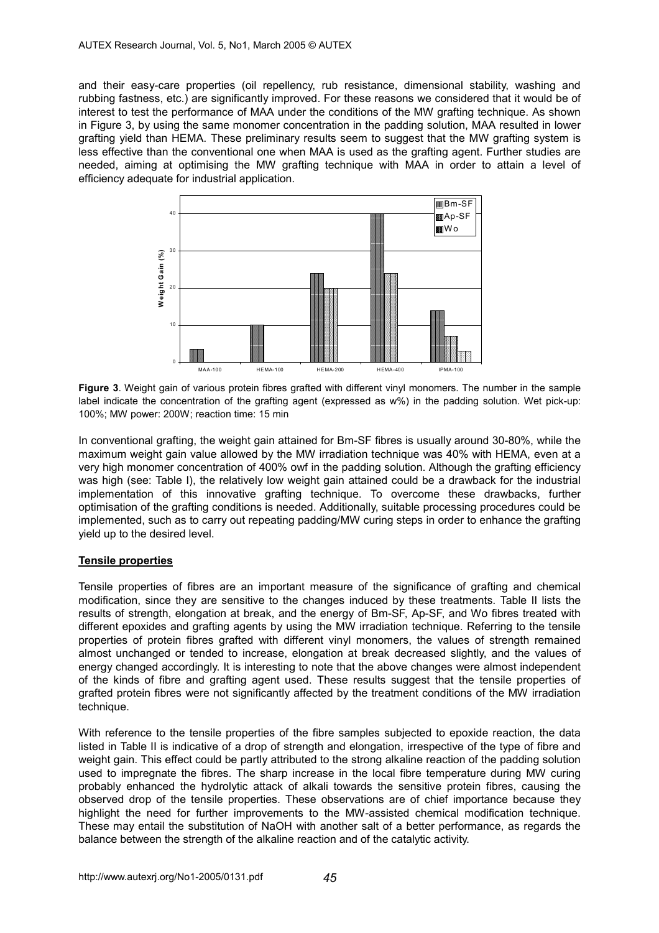and their easy-care properties (oil repellency, rub resistance, dimensional stability, washing and rubbing fastness, etc.) are significantly improved. For these reasons we considered that it would be of interest to test the performance of MAA under the conditions of the MW grafting technique. As shown in Figure 3, by using the same monomer concentration in the padding solution, MAA resulted in lower grafting yield than HEMA. These preliminary results seem to suggest that the MW grafting system is less effective than the conventional one when MAA is used as the grafting agent. Further studies are needed, aiming at optimising the MW grafting technique with MAA in order to attain a level of efficiency adequate for industrial application.



**Figure 3**. Weight gain of various protein fibres grafted with different vinyl monomers. The number in the sample label indicate the concentration of the grafting agent (expressed as w%) in the padding solution. Wet pick-up: 100%; MW power: 200W; reaction time: 15 min

In conventional grafting, the weight gain attained for Bm-SF fibres is usually around 30-80%, while the maximum weight gain value allowed by the MW irradiation technique was 40% with HEMA, even at a very high monomer concentration of 400% owf in the padding solution. Although the grafting efficiency was high (see: Table I), the relatively low weight gain attained could be a drawback for the industrial implementation of this innovative grafting technique. To overcome these drawbacks, further optimisation of the grafting conditions is needed. Additionally, suitable processing procedures could be implemented, such as to carry out repeating padding/MW curing steps in order to enhance the grafting yield up to the desired level.

### **Tensile properties**

Tensile properties of fibres are an important measure of the significance of grafting and chemical modification, since they are sensitive to the changes induced by these treatments. Table II lists the results of strength, elongation at break, and the energy of Bm-SF, Ap-SF, and Wo fibres treated with different epoxides and grafting agents by using the MW irradiation technique. Referring to the tensile properties of protein fibres grafted with different vinyl monomers, the values of strength remained almost unchanged or tended to increase, elongation at break decreased slightly, and the values of energy changed accordingly. It is interesting to note that the above changes were almost independent of the kinds of fibre and grafting agent used. These results suggest that the tensile properties of grafted protein fibres were not significantly affected by the treatment conditions of the MW irradiation technique.

With reference to the tensile properties of the fibre samples subjected to epoxide reaction, the data listed in Table II is indicative of a drop of strength and elongation, irrespective of the type of fibre and weight gain. This effect could be partly attributed to the strong alkaline reaction of the padding solution used to impregnate the fibres. The sharp increase in the local fibre temperature during MW curing probably enhanced the hydrolytic attack of alkali towards the sensitive protein fibres, causing the observed drop of the tensile properties. These observations are of chief importance because they highlight the need for further improvements to the MW-assisted chemical modification technique. These may entail the substitution of NaOH with another salt of a better performance, as regards the balance between the strength of the alkaline reaction and of the catalytic activity.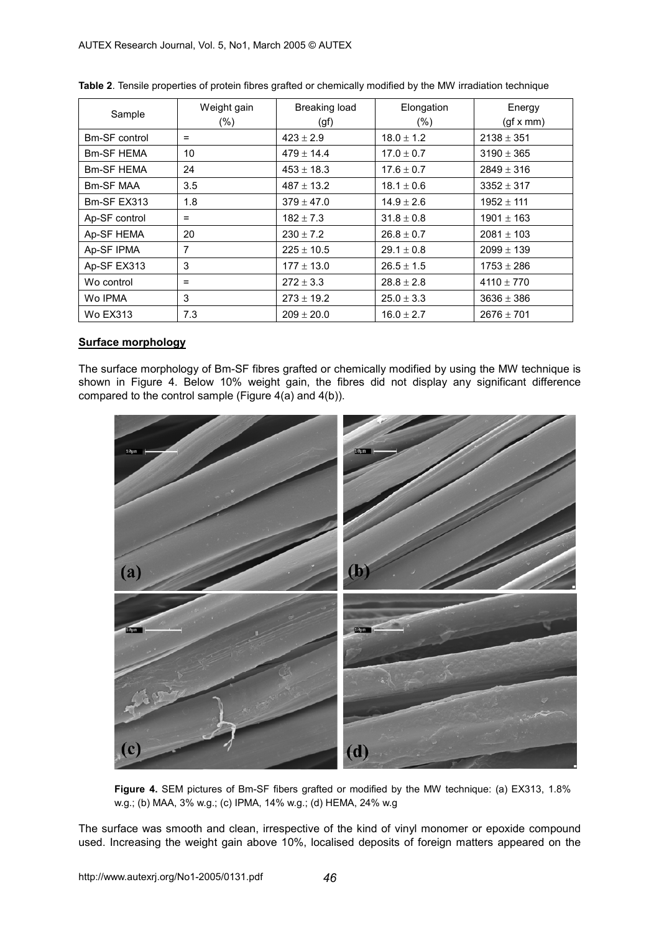| Sample            | Weight gain<br>$(\% )$ | Breaking load<br>(gf) | Elongation<br>$(\% )$ | Energy<br>(gf x mm) |
|-------------------|------------------------|-----------------------|-----------------------|---------------------|
| Bm-SF control     | $=$                    | $423 \pm 2.9$         | $18.0 \pm 1.2$        | $2138 \pm 351$      |
| <b>Bm-SF HEMA</b> | 10                     | $479 \pm 14.4$        | $17.0 \pm 0.7$        | $3190 \pm 365$      |
| <b>Bm-SF HEMA</b> | 24                     | $453 \pm 18.3$        | $17.6 \pm 0.7$        | $2849 \pm 316$      |
| Bm-SF MAA         | 3.5                    | $487 \pm 13.2$        | $18.1 \pm 0.6$        | $3352 \pm 317$      |
| Bm-SF EX313       | 1.8                    | $379 \pm 47.0$        | $14.9 \pm 2.6$        | $1952 \pm 111$      |
| Ap-SF control     | $=$                    | $182 \pm 7.3$         | $31.8 \pm 0.8$        | $1901 \pm 163$      |
| Ap-SF HEMA        | 20                     | $230 \pm 7.2$         | $26.8 \pm 0.7$        | $2081 \pm 103$      |
| Ap-SF IPMA        | 7                      | $225 \pm 10.5$        | $29.1 \pm 0.8$        | $2099 \pm 139$      |
| Ap-SF EX313       | 3                      | $177 \pm 13.0$        | $26.5 \pm 1.5$        | $1753 \pm 286$      |
| Wo control        | $=$                    | $272 \pm 3.3$         | $28.8 \pm 2.8$        | $4110 \pm 770$      |
| Wo IPMA           | 3                      | $273 \pm 19.2$        | $25.0 \pm 3.3$        | $3636 \pm 386$      |
| <b>Wo EX313</b>   | 7.3                    | $209 \pm 20.0$        | $16.0 \pm 2.7$        | $2676 \pm 701$      |

**Table 2**. Tensile properties of protein fibres grafted or chemically modified by the MW irradiation technique

### **Surface morphology**

The surface morphology of Bm-SF fibres grafted or chemically modified by using the MW technique is shown in Figure 4. Below 10% weight gain, the fibres did not display any significant difference compared to the control sample (Figure 4(a) and 4(b)).



**Figure 4.** SEM pictures of Bm-SF fibers grafted or modified by the MW technique: (a) EX313, 1.8% w.g.; (b) MAA, 3% w.g.; (c) IPMA, 14% w.g.; (d) HEMA, 24% w.g

The surface was smooth and clean, irrespective of the kind of vinyl monomer or epoxide compound used. Increasing the weight gain above 10%, localised deposits of foreign matters appeared on the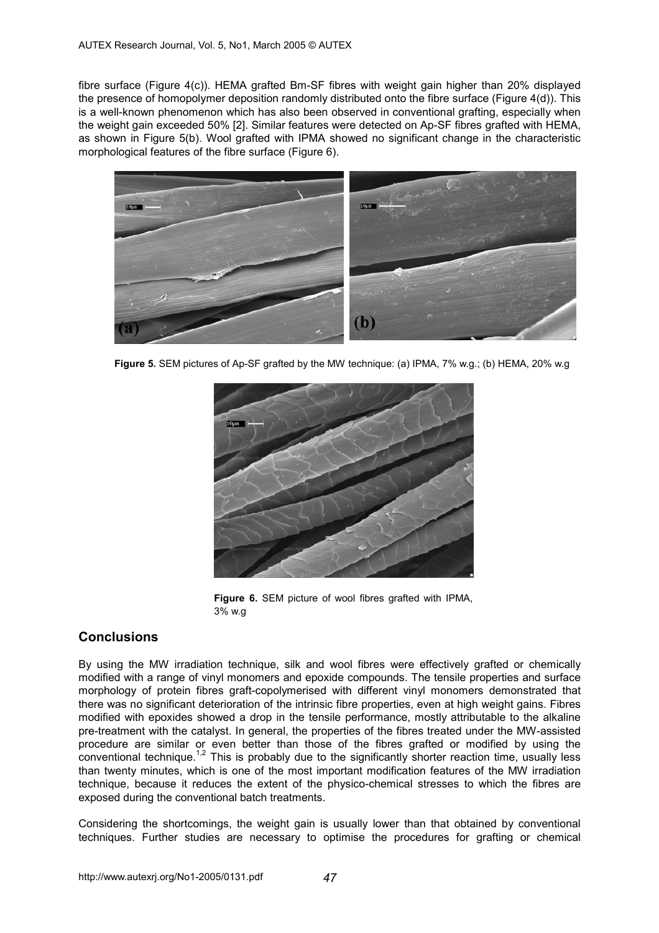fibre surface (Figure 4(c)). HEMA grafted Bm-SF fibres with weight gain higher than 20% displayed the presence of homopolymer deposition randomly distributed onto the fibre surface (Figure 4(d)). This is a well-known phenomenon which has also been observed in conventional grafting, especially when the weight gain exceeded 50% [2]. Similar features were detected on Ap-SF fibres grafted with HEMA, as shown in Figure 5(b). Wool grafted with IPMA showed no significant change in the characteristic morphological features of the fibre surface (Figure 6).



**Figure 5.** SEM pictures of Ap-SF grafted by the MW technique: (a) IPMA, 7% w.g.; (b) HEMA, 20% w.g



**Figure 6.** SEM picture of wool fibres grafted with IPMA, 3% w.g

# **Conclusions**

By using the MW irradiation technique, silk and wool fibres were effectively grafted or chemically modified with a range of vinyl monomers and epoxide compounds. The tensile properties and surface morphology of protein fibres graft-copolymerised with different vinyl monomers demonstrated that there was no significant deterioration of the intrinsic fibre properties, even at high weight gains. Fibres modified with epoxides showed a drop in the tensile performance, mostly attributable to the alkaline pre-treatment with the catalyst. In general, the properties of the fibres treated under the MW-assisted procedure are similar or even better than those of the fibres grafted or modified by using the conventional technique.<sup>1,2</sup> This is probably due to the significantly shorter reaction time, usually less than twenty minutes, which is one of the most important modification features of the MW irradiation technique, because it reduces the extent of the physico-chemical stresses to which the fibres are exposed during the conventional batch treatments.

Considering the shortcomings, the weight gain is usually lower than that obtained by conventional techniques. Further studies are necessary to optimise the procedures for grafting or chemical